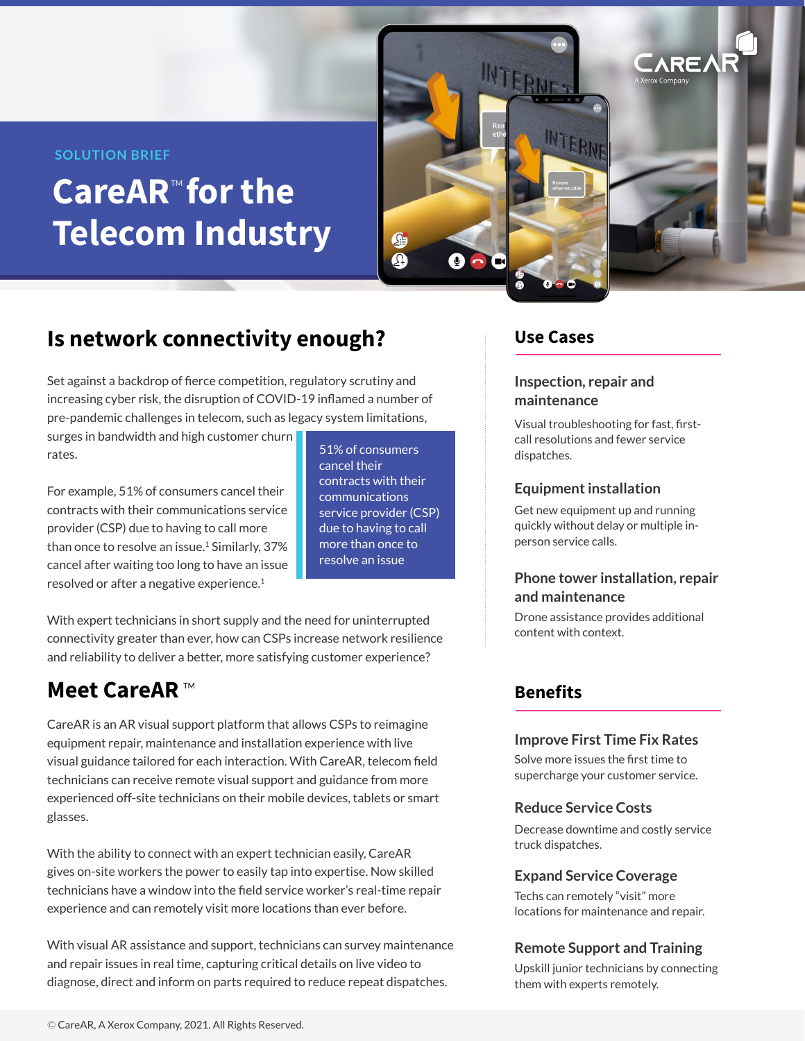#### **SOLUTION BRIEF**

# CareAR<sup>™</sup> for the **Telecom Industry**



# **Is network connectivity enough?**

Set against a backdrop of fierce competition, regulatory scrutiny and increasing cyber risk, the disruption of COVID-19 inflamed a number of pre-pandemic challenges in telecom, such as legacy system limitations,

surges in bandwidth and high customer churn rates.

For example, 51% of consumers cancel their contracts with their communications service provider (CSP) due to having to call more than once to resolve an issue.<sup>1</sup> Similarly, 37% cancel after waiting too long to have an issue resolved or after a negative experience.<sup>1</sup>

51% of consumers cancel their contracts with their communications service provider (CSP) due to having to call more than once to resolve an issue

With expert technicians in short supply and the need for uninterrupted connectivity greater than ever, how can CSPs increase network resilience and reliability to deliver a better, more satisfying customer experience?

# **Meet CareAR**™

CareAR is an AR visual support platform that allows CSPs to reimagine equipment repair, maintenance and installation experience with live visual guidance tailored for each interaction. With CareAR, telecom field technicians can receive remote visual support and guidance from more experienced off-site technicians on their mobile devices, tablets or smart glasses.

With the ability to connect with an expert technician easily, CareAR gives on-site workers the power to easily tap into expertise. Now skilled technicians have a window into the field service worker's real-time repair experience and can remotely visit more locations than ever before.

With visual AR assistance and support, technicians can survey maintenance and repair issues in real time, capturing critical details on live video to diagnose, direct and inform on parts required to reduce repeat dispatches.

### **Use Cases**

#### **Inspection, repair and maintenance**

Visual troubleshooting for fast, firstcall resolutions and fewer service dispatches.

#### **Equipment installation**

Get new equipment up and running quickly without delay or multiple inperson service calls.

#### **Phone tower installation, repair and maintenance**

Drone assistance provides additional content with context.

### **Benefits**

#### **Improve First Time Fix Rates**

Solve more issues the first time to supercharge your customer service.

#### **Reduce Service Costs**

Decrease downtime and costly service truck dispatches.

#### **Expand Service Coverage**

Techs can remotely "visit" more locations for maintenance and repair.

#### **Remote Support and Training**

Upskill junior technicians by connecting them with experts remotely.